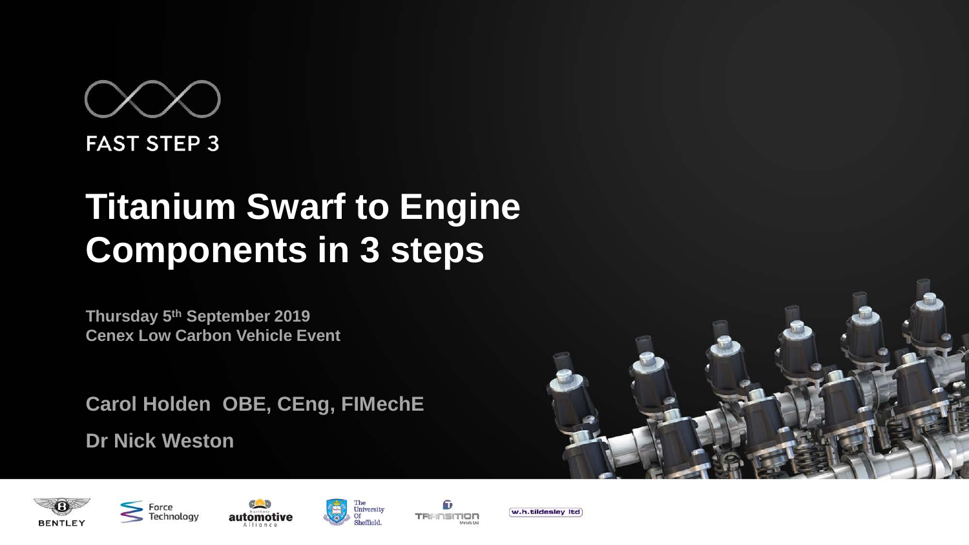# **FAST STEP 3**

# **Titanium Swarf to Engine Components in 3 steps**

**Thursday 5th September 2019 Cenex Low Carbon Vehicle Event** 

**Carol Holden OBE, CEng, FIMechE Dr Nick Weston**











University

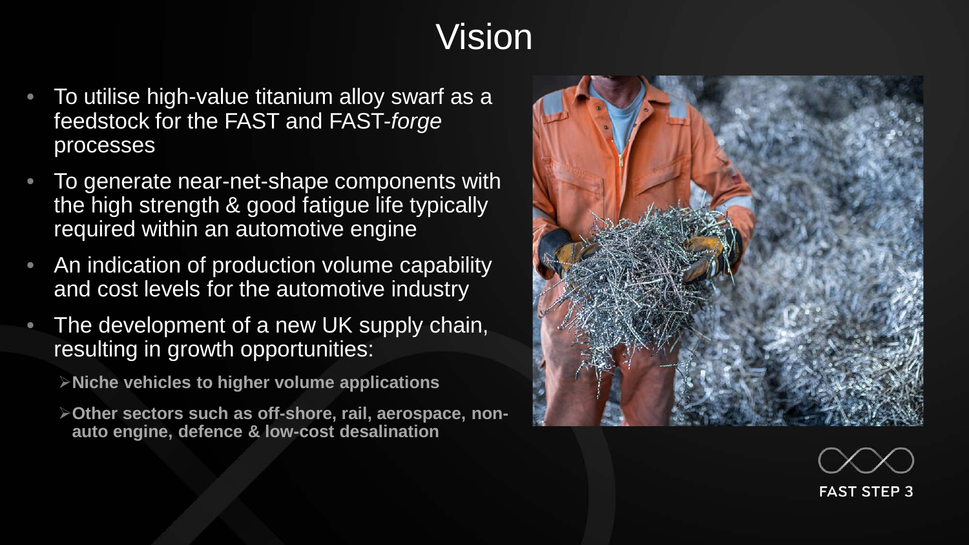# Vision

- To utilise high-value titanium alloy swarf as a feedstock for the FAST and FAST-*forge* processes
- To generate near-net-shape components with the high strength & good fatigue life typically required within an automotive engine
- An indication of production volume capability and cost levels for the automotive industry
- The development of a new UK supply chain, resulting in growth opportunities:

**Niche vehicles to higher volume applications**

**Other sectors such as off-shore, rail, aerospace, nonauto engine, defence & low-cost desalination**



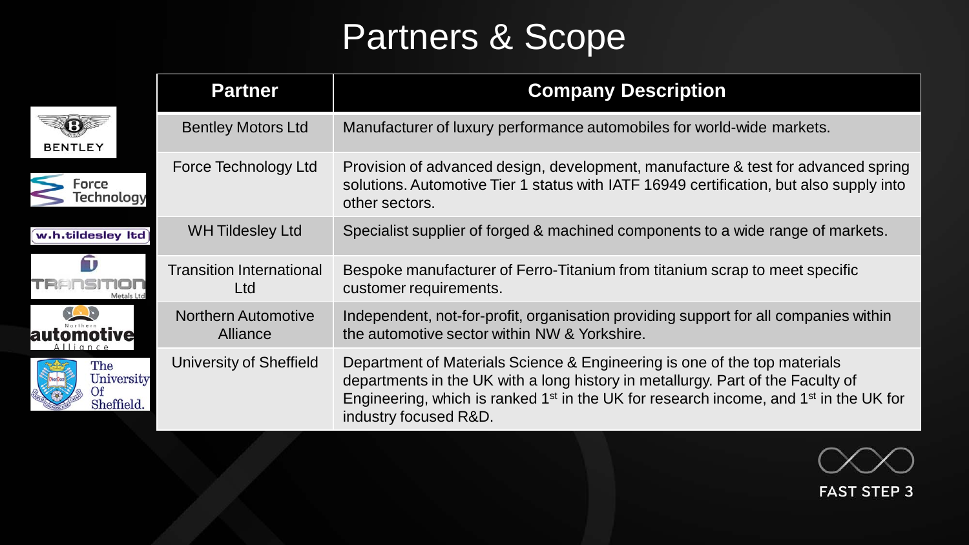# Partners & Scope

|                                 | <b>Partner</b>                         | <b>Company Description</b>                                                                                                                                                                                                                                                                             |
|---------------------------------|----------------------------------------|--------------------------------------------------------------------------------------------------------------------------------------------------------------------------------------------------------------------------------------------------------------------------------------------------------|
| <b>BENTLEY</b>                  | <b>Bentley Motors Ltd</b>              | Manufacturer of luxury performance automobiles for world-wide markets.                                                                                                                                                                                                                                 |
| Force<br>Technology             | Force Technology Ltd                   | Provision of advanced design, development, manufacture & test for advanced spring<br>solutions. Automotive Tier 1 status with IATF 16949 certification, but also supply into<br>other sectors.                                                                                                         |
| w.h.tildesley Itd               | <b>WH Tildesley Ltd</b>                | Specialist supplier of forged & machined components to a wide range of markets.                                                                                                                                                                                                                        |
| Metals Lt                       | <b>Transition International</b><br>Ltd | Bespoke manufacturer of Ferro-Titanium from titanium scrap to meet specific<br>customer requirements.                                                                                                                                                                                                  |
|                                 | <b>Northern Automotive</b><br>Alliance | Independent, not-for-profit, organisation providing support for all companies within<br>the automotive sector within NW & Yorkshire.                                                                                                                                                                   |
| The<br>University<br>Sheffield. | University of Sheffield                | Department of Materials Science & Engineering is one of the top materials<br>departments in the UK with a long history in metallurgy. Part of the Faculty of<br>Engineering, which is ranked 1 <sup>st</sup> in the UK for research income, and 1 <sup>st</sup> in the UK for<br>industry focused R&D. |



**FAST STEP 3**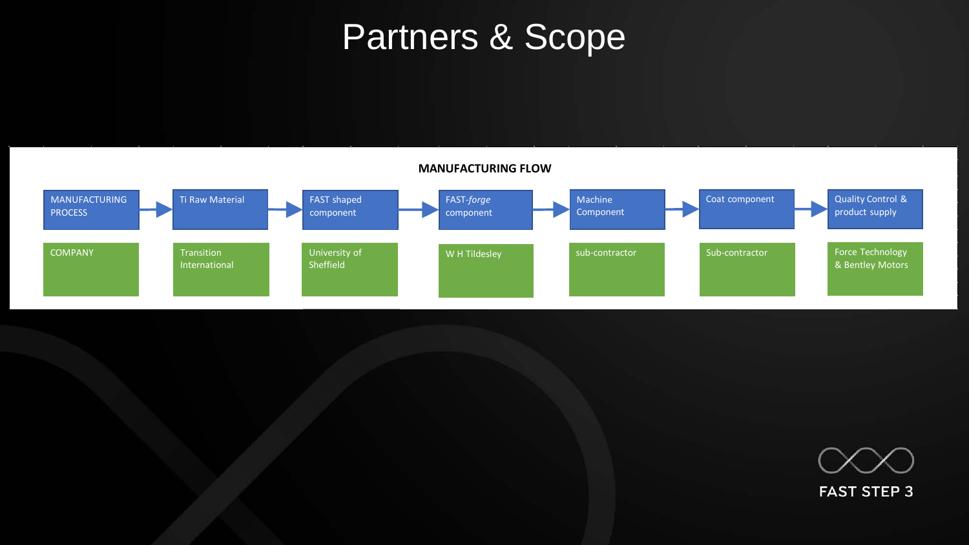#### Partners & Scope



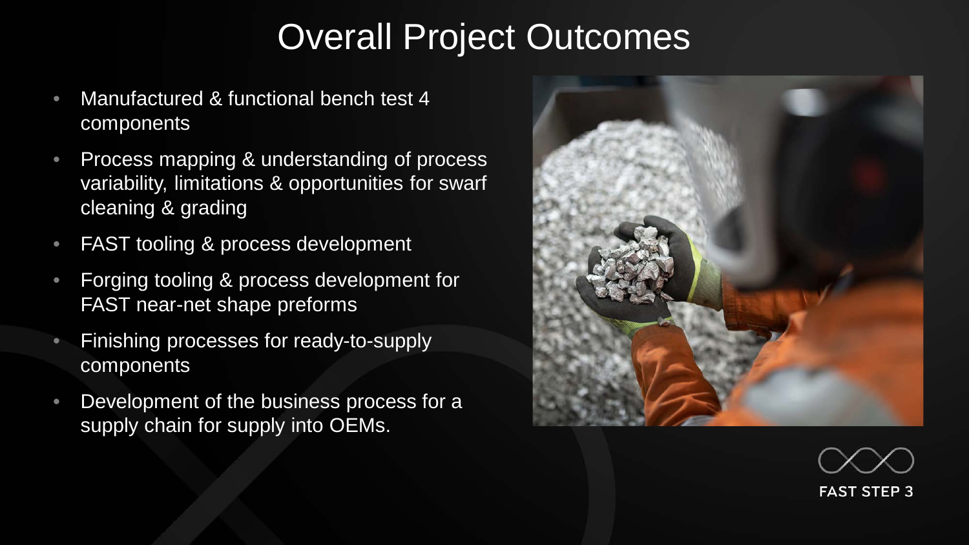### Overall Project Outcomes

- Manufactured & functional bench test 4 components
- Process mapping & understanding of process variability, limitations & opportunities for swarf cleaning & grading
- FAST tooling & process development
- Forging tooling & process development for FAST near-net shape preforms
- Finishing processes for ready-to-supply components
- Development of the business process for a supply chain for supply into OEMs.



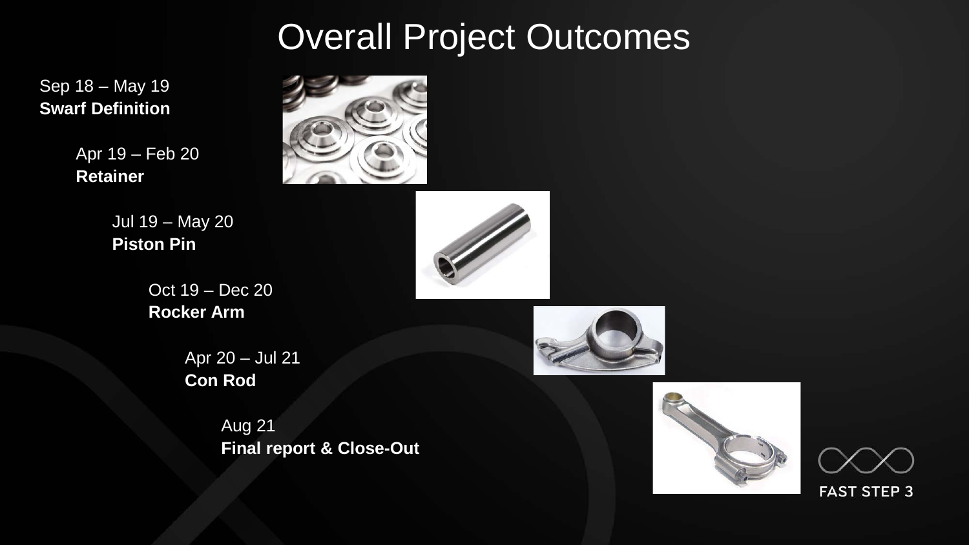## Overall Project Outcomes

Sep 18 – May 19 **Swarf Definition**

> Apr 19 – Feb 20 **Retainer**





Oct 19 – Dec 20 **Rocker Arm**

> Apr 20 – Jul 21 **Con Rod**

> > Aug 21 **Final report & Close-Out**





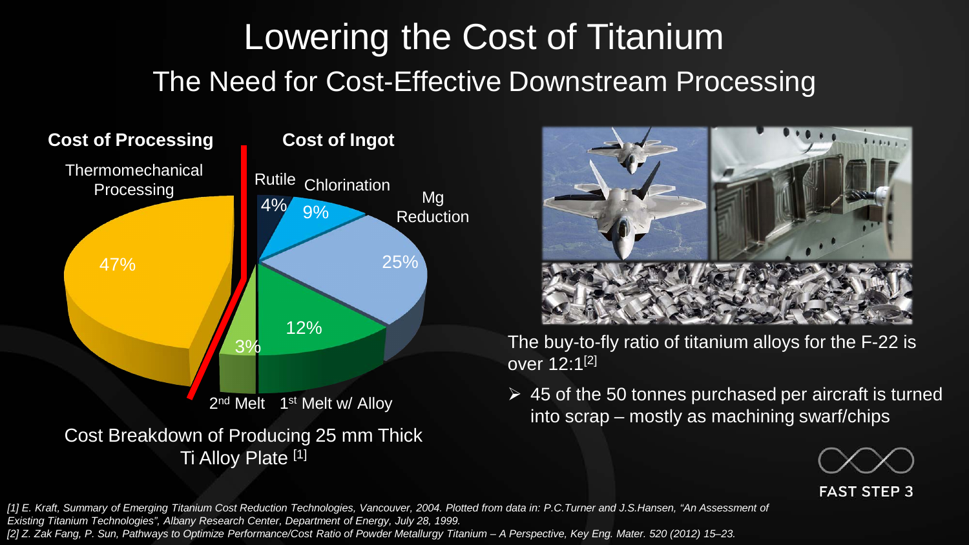# The Need for Cost-Effective Downstream Processing Lowering the Cost of Titanium





The buy-to-fly ratio of titanium alloys for the F-22 is over 12:1[2]

 $\geq 45$  of the 50 tonnes purchased per aircraft is turned into scrap – mostly as machining swarf/chips



**FAST STEP 3** 

*[1] E. Kraft, Summary of Emerging Titanium Cost Reduction Technologies, Vancouver, 2004. Plotted from data in: P.C.Turner and J.S.Hansen, "An Assessment of Existing Titanium Technologies", Albany Research Center, Department of Energy, July 28, 1999. [2] Z. Zak Fang, P. Sun, Pathways to Optimize Performance/Cost Ratio of Powder Metallurgy Titanium – A Perspective, Key Eng. Mater. 520 (2012) 15–23.*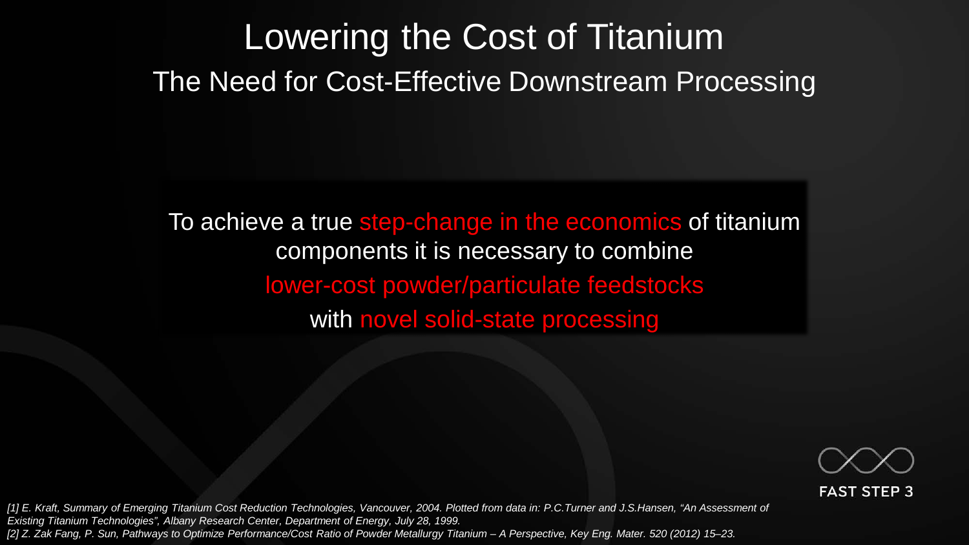## The Need for Cost-Effective Downstream Processing Lowering the Cost of Titanium

To achieve a true step-change in the economics of titanium components it is necessary to combine lower-cost powder/particulate feedstocks with novel solid-state processing



**FAST STEP 3** 

*[1] E. Kraft, Summary of Emerging Titanium Cost Reduction Technologies, Vancouver, 2004. Plotted from data in: P.C.Turner and J.S.Hansen, "An Assessment of Existing Titanium Technologies", Albany Research Center, Department of Energy, July 28, 1999. [2] Z. Zak Fang, P. Sun, Pathways to Optimize Performance/Cost Ratio of Powder Metallurgy Titanium – A Perspective, Key Eng. Mater. 520 (2012) 15–23.*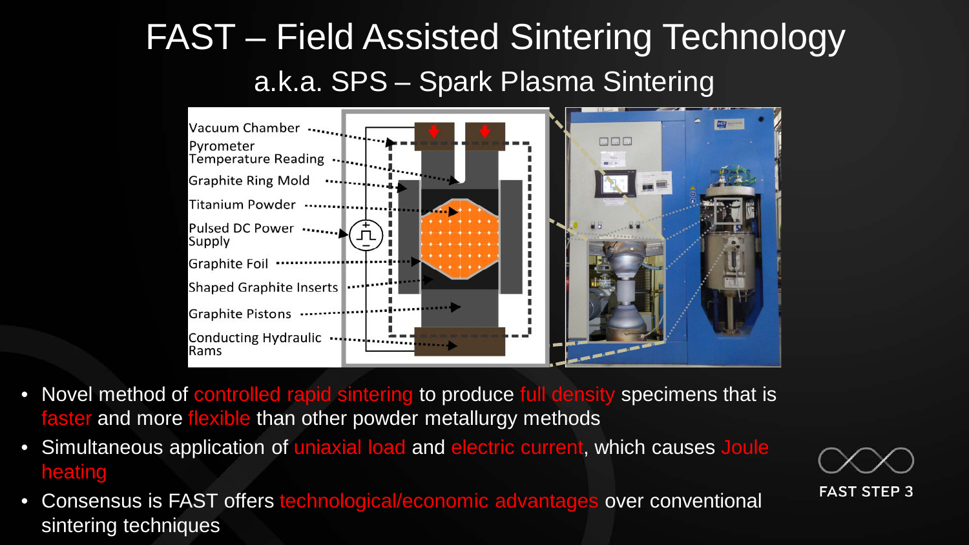## a.k.a. SPS – Spark Plasma Sintering FAST – Field Assisted Sintering Technology



- Novel method of controlled rapid sintering to produce full density specimens that is faster and more flexible than other powder metallurgy methods
- Simultaneous application of uniaxial load and electric current, which causes Joule heating
- Consensus is FAST offers technological/economic advantages over conventional sintering techniques

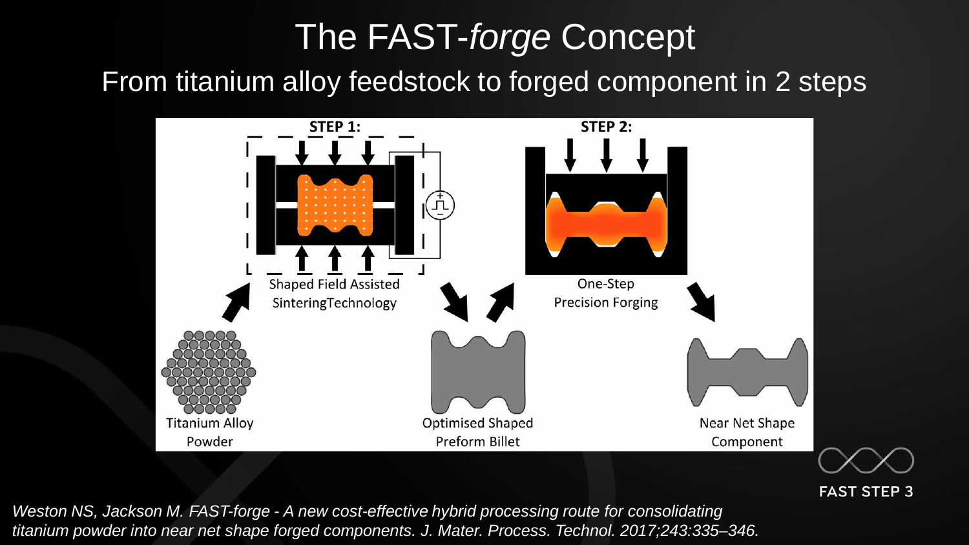# From titanium alloy feedstock to forged component in 2 steps The FAST-*forge* Concept



**FAST STEP 3** 

*Weston NS, Jackson M. FAST-forge - A new cost-effective hybrid processing route for consolidating titanium powder into near net shape forged components. J. Mater. Process. Technol. 2017;243:335–346.*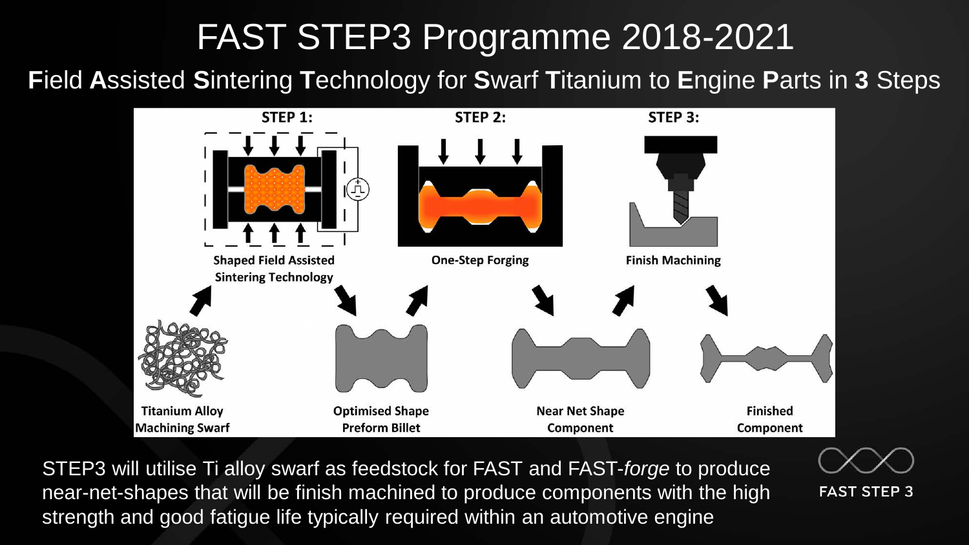## FAST STEP3 Programme 2018-2021

#### **F**ield **A**ssisted **S**intering **T**echnology for **S**warf **T**itanium to **E**ngine **P**arts in **3** Steps



STEP3 will utilise Ti alloy swarf as feedstock for FAST and FAST-*forge* to produce near-net-shapes that will be finish machined to produce components with the high strength and good fatigue life typically required within an automotive engine



**FAST STEP 3**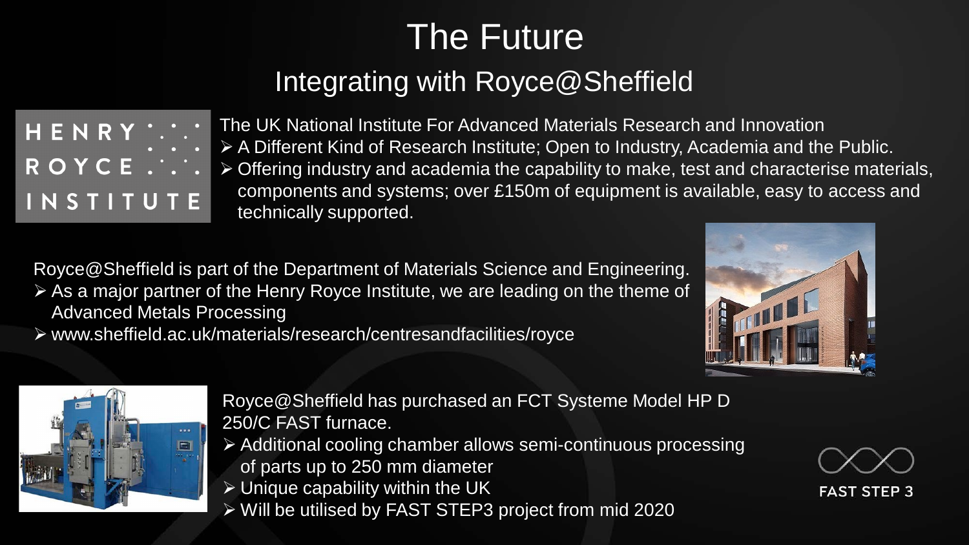# The Future

#### Integrating with Royce@Sheffield

INSTITUTE

The UK National Institute For Advanced Materials Research and Innovation A Different Kind of Research Institute; Open to Industry, Academia and the Public. Offering industry and academia the capability to make, test and characterise materials, components and systems; over £150m of equipment is available, easy to access and technically supported.

Royce@Sheffield is part of the Department of Materials Science and Engineering.

 As a major partner of the Henry Royce Institute, we are leading on the theme of Advanced Metals Processing

www.sheffield.ac.uk/materials/research/centresandfacilities/royce





Royce@Sheffield has purchased an FCT Systeme Model HP D 250/C FAST furnace.

- Additional cooling chamber allows semi-continuous processing of parts up to 250 mm diameter
- $\triangleright$  Unique capability within the UK
- Will be utilised by FAST STEP3 project from mid 2020

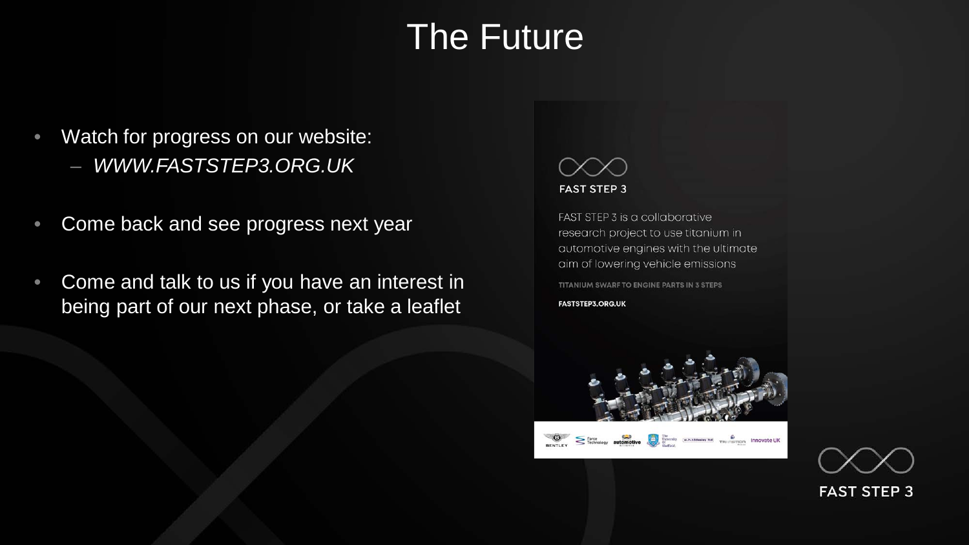### The Future

- Watch for progress on our website:
	- *WWW.FASTSTEP3.ORG.UK*
- Come back and see progress next year
- Come and talk to us if you have an interest in being part of our next phase, or take a leaflet



FAST STEP 3 is a collaborative research project to use titanium in automotive engines with the ultimate aim of lowering vehicle emissions TITANIUM SWARF TO ENGINE PARTS IN 3 STEPS **FASTSTEP3.ORG.UK**